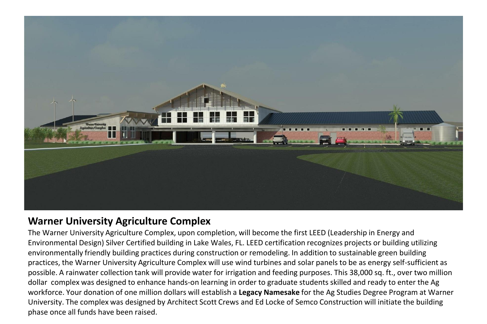

## **Warner University Agriculture Complex**

The Warner University Agriculture Complex, upon completion, will become the first LEED (Leadership in Energy and Environmental Design) Silver Certified building in Lake Wales, FL. LEED certification recognizes projects or building utilizing environmentally friendly building practices during construction or remodeling. In addition to sustainable green building practices, the Warner University Agriculture Complex will use wind turbines and solar panels to be as energy self-sufficient as possible. A rainwater collection tank will provide water for irrigation and feeding purposes. This 38,000 sq. ft., over two million dollar complex was designed to enhance hands-on learning in order to graduate students skilled and ready to enter the Ag workforce. Your donation of one million dollars will establish a **Legacy Namesake** for the Ag Studies Degree Program at Warner University. The complex was designed by Architect Scott Crews and Ed Locke of Semco Construction will initiate the building phase once all funds have been raised.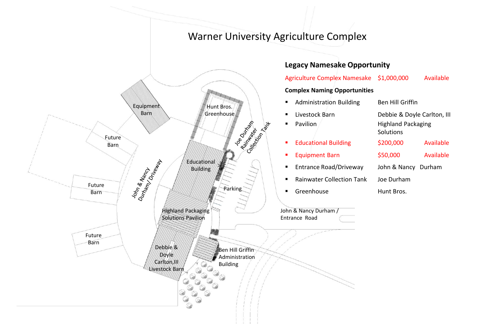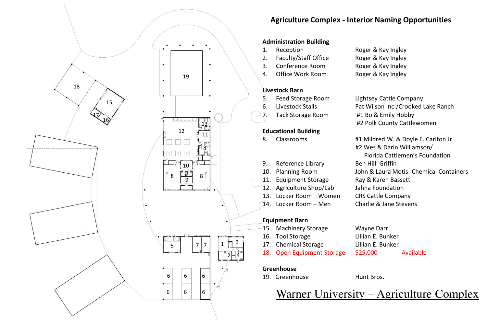

## **Agriculture Complex - Interior Naming Opportunities**

#### **Administration Building**

- 1. Reception Roger & Kay Ingley 2. Faculty/Staff Office Roger & Kay Ingley
- 
- 

#### **Livestock Barn**

- 5. Feed Storage Room Lightsey Cattle Company
- 6. Livestock Stalls Pat Wilson Inc./Crooked Lake Ranch
- 7. Tack Storage Room #1 Bo & Emily Hobby

#### **Educational Building**

- 
- 9. Reference Library Ben Hill Griffin
- 
- 11. Equipment Storage Ray & Karen Bassett
- 12. Agriculture Shop/Lab Jahna Foundation
- 13. Locker Room Women CRS Cattle Company
- 

#### **Equipment Barn**

- 15. Machinery Storage Wayne Darr
- 16. Tool Storage Lillian E. Bunker
- 17. Chemical Storage Lillian E. Bunker
- 18. Open Equipment Storage \$25,000 Available

#### **Greenhouse**

19. Greenhouse Hunt Bros.

Warner University – Agriculture Complex

# 3. Conference Room Roger & Kay Ingley 4. Office Work Room Roger & Kay Ingley

 #2 Polk County Cattlewomen 8. Classrooms #1 Mildred W. & Doyle E. Carlton Jr. #2 Wes & Darin Williamson/ Florida Cattlemen's Foundation

- 10. Planning Room John & Laura Motis- Chemical Containers
- 14. Locker Room Men Charlie & Jane Stevens